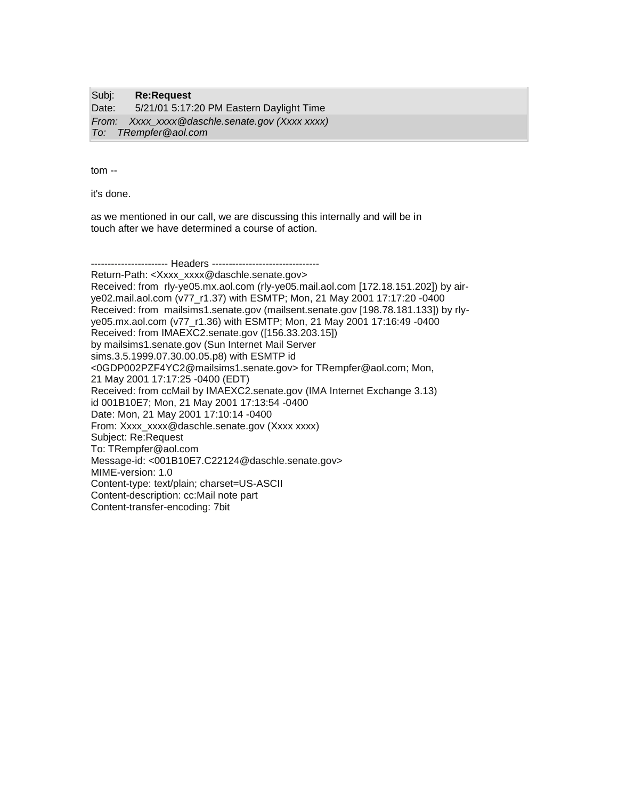Subj: **Re:Request** Date: 5/21/01 5:17:20 PM Eastern Daylight Time *From: Xxxx\_xxxx@daschle.senate.gov (Xxxx xxxx) To: TRempfer@aol.com*

tom --

it's done.

as we mentioned in our call, we are discussing this internally and will be in touch after we have determined a course of action.

----------------------- Headers ---------------------------------Return-Path: <Xxxx\_xxxx@daschle.senate.gov> Received: from rly-ye05.mx.aol.com (rly-ye05.mail.aol.com [172.18.151.202]) by airye02.mail.aol.com (v77\_r1.37) with ESMTP; Mon, 21 May 2001 17:17:20 -0400 Received: from mailsims1.senate.gov (mailsent.senate.gov [198.78.181.133]) by rlyye05.mx.aol.com (v77\_r1.36) with ESMTP; Mon, 21 May 2001 17:16:49 -0400 Received: from IMAEXC2.senate.gov ([156.33.203.15]) by mailsims1.senate.gov (Sun Internet Mail Server sims.3.5.1999.07.30.00.05.p8) with ESMTP id <0GDP002PZF4YC2@mailsims1.senate.gov> for TRempfer@aol.com; Mon, 21 May 2001 17:17:25 -0400 (EDT) Received: from ccMail by IMAEXC2.senate.gov (IMA Internet Exchange 3.13) id 001B10E7; Mon, 21 May 2001 17:13:54 -0400 Date: Mon, 21 May 2001 17:10:14 -0400 From: Xxxx\_xxxx@daschle.senate.gov (Xxxx xxxx) Subject: Re:Request To: TRempfer@aol.com Message-id: <001B10E7.C22124@daschle.senate.gov> MIME-version: 1.0 Content-type: text/plain; charset=US-ASCII Content-description: cc:Mail note part Content-transfer-encoding: 7bit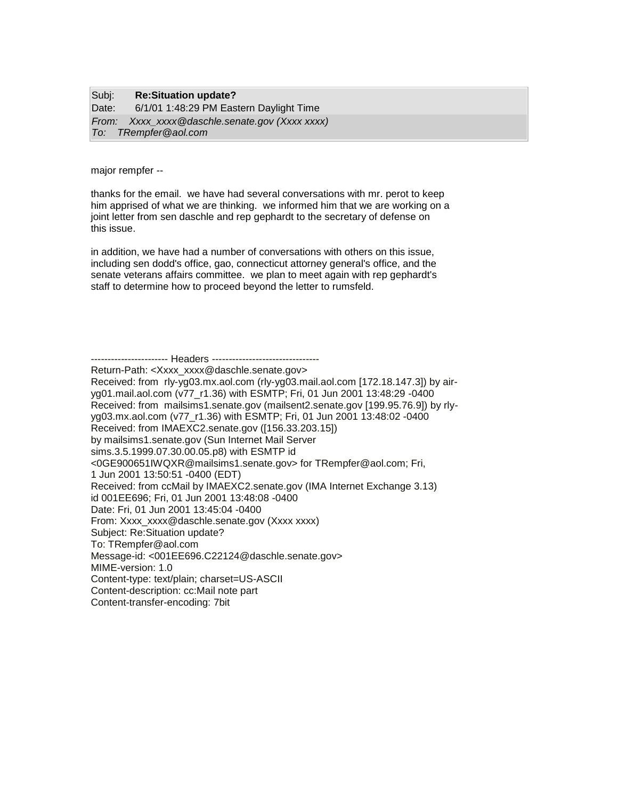## Subj: **Re:Situation update?** Date: 6/1/01 1:48:29 PM Eastern Daylight Time *From: Xxxx\_xxxx@daschle.senate.gov (Xxxx xxxx) To: TRempfer@aol.com*

major rempfer --

thanks for the email. we have had several conversations with mr. perot to keep him apprised of what we are thinking. we informed him that we are working on a joint letter from sen daschle and rep gephardt to the secretary of defense on this issue.

in addition, we have had a number of conversations with others on this issue, including sen dodd's office, gao, connecticut attorney general's office, and the senate veterans affairs committee. we plan to meet again with rep gephardt's staff to determine how to proceed beyond the letter to rumsfeld.

------------------- Headers ----------------------

Return-Path: <Xxxx\_xxxx@daschle.senate.gov>

Received: from rly-yg03.mx.aol.com (rly-yg03.mail.aol.com [172.18.147.3]) by airyg01.mail.aol.com (v77\_r1.36) with ESMTP; Fri, 01 Jun 2001 13:48:29 -0400 Received: from mailsims1.senate.gov (mailsent2.senate.gov [199.95.76.9]) by rlyyg03.mx.aol.com (v77\_r1.36) with ESMTP; Fri, 01 Jun 2001 13:48:02 -0400 Received: from IMAEXC2.senate.gov ([156.33.203.15]) by mailsims1.senate.gov (Sun Internet Mail Server sims.3.5.1999.07.30.00.05.p8) with ESMTP id <0GE900651IWQXR@mailsims1.senate.gov> for TRempfer@aol.com; Fri, 1 Jun 2001 13:50:51 -0400 (EDT) Received: from ccMail by IMAEXC2.senate.gov (IMA Internet Exchange 3.13) id 001EE696; Fri, 01 Jun 2001 13:48:08 -0400 Date: Fri, 01 Jun 2001 13:45:04 -0400 From: Xxxx\_xxxx@daschle.senate.gov (Xxxx xxxx) Subject: Re:Situation update? To: TRempfer@aol.com Message-id: <001EE696.C22124@daschle.senate.gov> MIME-version: 1.0 Content-type: text/plain; charset=US-ASCII Content-description: cc:Mail note part Content-transfer-encoding: 7bit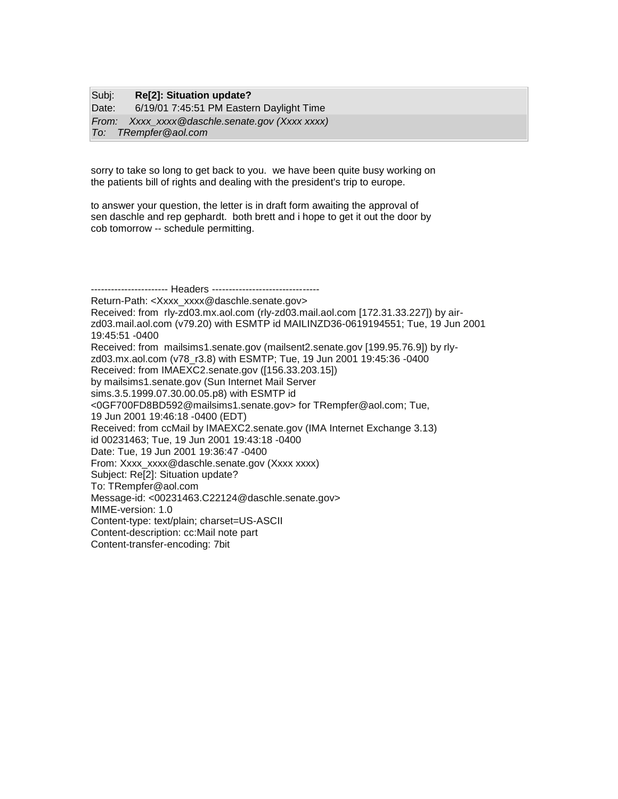## Subj: **Re[2]: Situation update?**

Date: 6/19/01 7:45:51 PM Eastern Daylight Time *From: Xxxx\_xxxx@daschle.senate.gov (Xxxx xxxx) To: TRempfer@aol.com*

sorry to take so long to get back to you. we have been quite busy working on the patients bill of rights and dealing with the president's trip to europe.

to answer your question, the letter is in draft form awaiting the approval of sen daschle and rep gephardt. both brett and i hope to get it out the door by cob tomorrow -- schedule permitting.

----------------------- Headers ----------------------------Return-Path: <Xxxx\_xxxx@daschle.senate.gov> Received: from rly-zd03.mx.aol.com (rly-zd03.mail.aol.com [172.31.33.227]) by airzd03.mail.aol.com (v79.20) with ESMTP id MAILINZD36-0619194551; Tue, 19 Jun 2001 19:45:51 -0400 Received: from mailsims1.senate.gov (mailsent2.senate.gov [199.95.76.9]) by rlyzd03.mx.aol.com (v78\_r3.8) with ESMTP; Tue, 19 Jun 2001 19:45:36 -0400 Received: from IMAEXC2.senate.gov ([156.33.203.15]) by mailsims1.senate.gov (Sun Internet Mail Server sims.3.5.1999.07.30.00.05.p8) with ESMTP id <0GF700FD8BD592@mailsims1.senate.gov> for TRempfer@aol.com; Tue, 19 Jun 2001 19:46:18 -0400 (EDT) Received: from ccMail by IMAEXC2.senate.gov (IMA Internet Exchange 3.13) id 00231463; Tue, 19 Jun 2001 19:43:18 -0400 Date: Tue, 19 Jun 2001 19:36:47 -0400 From: Xxxx\_xxxx@daschle.senate.gov (Xxxx xxxx) Subject: Re[2]: Situation update? To: TRempfer@aol.com Message-id: <00231463.C22124@daschle.senate.gov> MIME-version: 1.0 Content-type: text/plain; charset=US-ASCII Content-description: cc:Mail note part Content-transfer-encoding: 7bit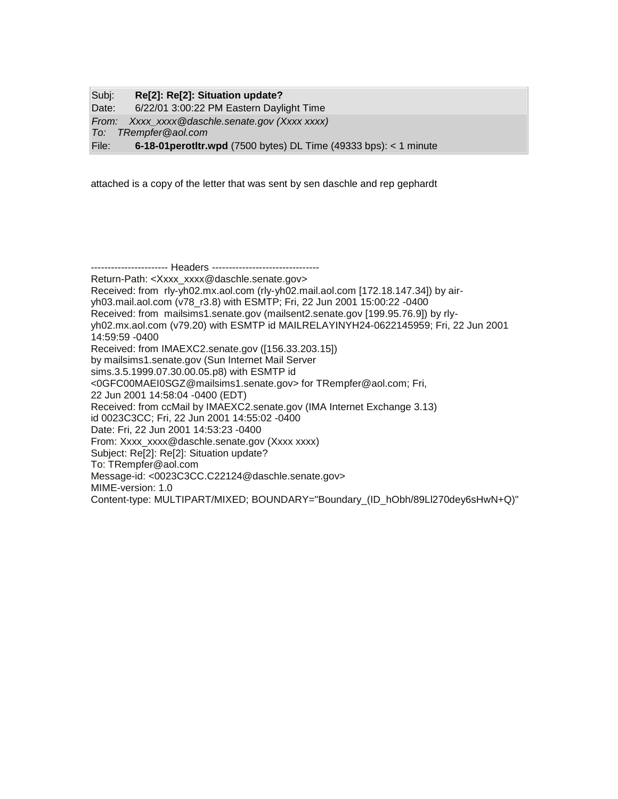| Subj: | Re[2]: Re[2]: Situation update?                                            |
|-------|----------------------------------------------------------------------------|
| Date: | 6/22/01 3:00:22 PM Eastern Daylight Time                                   |
|       | From: Xxxx xxxx @daschle.senate.gov (Xxxx xxxx)                            |
|       | To: TRempfer@aol.com                                                       |
| File: | <b>6-18-01 perotltr.wpd</b> (7500 bytes) DL Time (49333 bps): $<$ 1 minute |

attached is a copy of the letter that was sent by sen daschle and rep gephardt

-------------------- Headers ---------------------------------Return-Path: <Xxxx\_xxxx@daschle.senate.gov> Received: from rly-yh02.mx.aol.com (rly-yh02.mail.aol.com [172.18.147.34]) by airyh03.mail.aol.com (v78\_r3.8) with ESMTP; Fri, 22 Jun 2001 15:00:22 -0400 Received: from mailsims1.senate.gov (mailsent2.senate.gov [199.95.76.9]) by rlyyh02.mx.aol.com (v79.20) with ESMTP id MAILRELAYINYH24-0622145959; Fri, 22 Jun 2001 14:59:59 -0400 Received: from IMAEXC2.senate.gov ([156.33.203.15]) by mailsims1.senate.gov (Sun Internet Mail Server sims.3.5.1999.07.30.00.05.p8) with ESMTP id <0GFC00MAEI0SGZ@mailsims1.senate.gov> for TRempfer@aol.com; Fri, 22 Jun 2001 14:58:04 -0400 (EDT) Received: from ccMail by IMAEXC2.senate.gov (IMA Internet Exchange 3.13) id 0023C3CC; Fri, 22 Jun 2001 14:55:02 -0400 Date: Fri, 22 Jun 2001 14:53:23 -0400 From: Xxxx\_xxxx@daschle.senate.gov (Xxxx xxxx) Subject: Re[2]: Re[2]: Situation update? To: TRempfer@aol.com Message-id: <0023C3CC.C22124@daschle.senate.gov> MIME-version: 1.0 Content-type: MULTIPART/MIXED; BOUNDARY="Boundary\_(ID\_hObh/89Ll270dey6sHwN+Q)"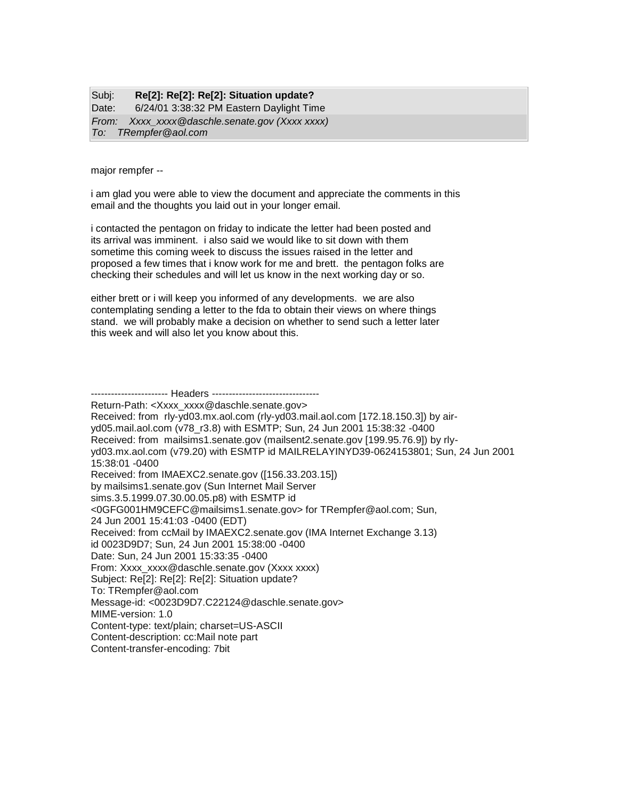## Subj: **Re[2]: Re[2]: Re[2]: Situation update?** Date: 6/24/01 3:38:32 PM Eastern Daylight Time *From: Xxxx\_xxxx@daschle.senate.gov (Xxxx xxxx) To: TRempfer@aol.com*

major rempfer --

i am glad you were able to view the document and appreciate the comments in this email and the thoughts you laid out in your longer email.

i contacted the pentagon on friday to indicate the letter had been posted and its arrival was imminent. i also said we would like to sit down with them sometime this coming week to discuss the issues raised in the letter and proposed a few times that i know work for me and brett. the pentagon folks are checking their schedules and will let us know in the next working day or so.

either brett or i will keep you informed of any developments. we are also contemplating sending a letter to the fda to obtain their views on where things stand. we will probably make a decision on whether to send such a letter later this week and will also let you know about this.

------------------- Headers ---------------------------------Return-Path: <Xxxx\_xxxx@daschle.senate.gov> Received: from rly-yd03.mx.aol.com (rly-yd03.mail.aol.com [172.18.150.3]) by airyd05.mail.aol.com (v78\_r3.8) with ESMTP; Sun, 24 Jun 2001 15:38:32 -0400 Received: from mailsims1.senate.gov (mailsent2.senate.gov [199.95.76.9]) by rlyyd03.mx.aol.com (v79.20) with ESMTP id MAILRELAYINYD39-0624153801; Sun, 24 Jun 2001 15:38:01 -0400 Received: from IMAEXC2.senate.gov ([156.33.203.15]) by mailsims1.senate.gov (Sun Internet Mail Server sims.3.5.1999.07.30.00.05.p8) with ESMTP id <0GFG001HM9CEFC@mailsims1.senate.gov> for TRempfer@aol.com; Sun, 24 Jun 2001 15:41:03 -0400 (EDT) Received: from ccMail by IMAEXC2.senate.gov (IMA Internet Exchange 3.13) id 0023D9D7; Sun, 24 Jun 2001 15:38:00 -0400 Date: Sun, 24 Jun 2001 15:33:35 -0400 From: Xxxx\_xxxx@daschle.senate.gov (Xxxx xxxx) Subject: Re[2]: Re[2]: Re[2]: Situation update? To: TRempfer@aol.com Message-id: <0023D9D7.C22124@daschle.senate.gov> MIME-version: 1.0 Content-type: text/plain; charset=US-ASCII Content-description: cc:Mail note part Content-transfer-encoding: 7bit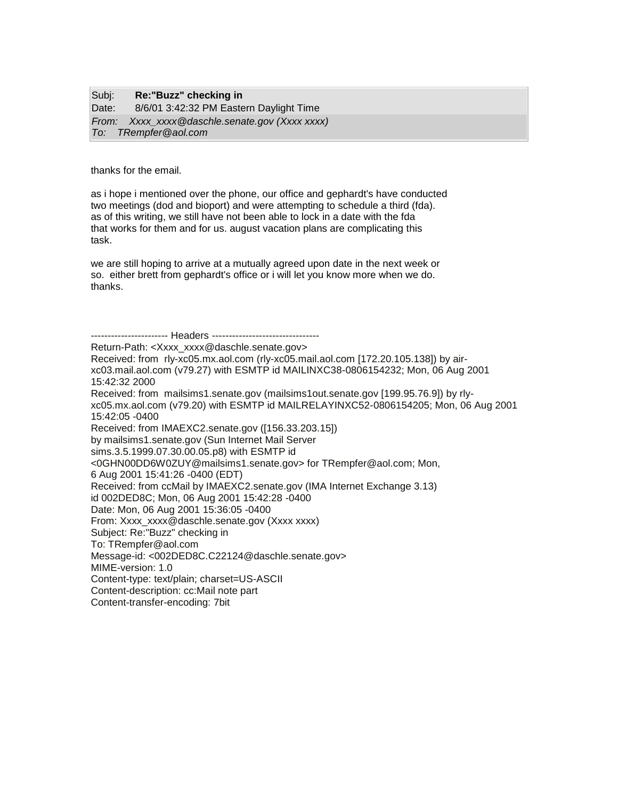| Subj: | Re:"Buzz" checking in                           |
|-------|-------------------------------------------------|
| Date: | 8/6/01 3:42:32 PM Eastern Daylight Time         |
|       | From: Xxxx_xxxx @daschle.senate.gov (Xxxx xxxx) |
|       | To: TRempfer@aol.com                            |

thanks for the email.

as i hope i mentioned over the phone, our office and gephardt's have conducted two meetings (dod and bioport) and were attempting to schedule a third (fda). as of this writing, we still have not been able to lock in a date with the fda that works for them and for us. august vacation plans are complicating this task.

we are still hoping to arrive at a mutually agreed upon date in the next week or so. either brett from gephardt's office or i will let you know more when we do. thanks.

----------------------- Headers ---------------------------------Return-Path: <Xxxx\_xxxx@daschle.senate.gov> Received: from rly-xc05.mx.aol.com (rly-xc05.mail.aol.com [172.20.105.138]) by airxc03.mail.aol.com (v79.27) with ESMTP id MAILINXC38-0806154232; Mon, 06 Aug 2001 15:42:32 2000 Received: from mailsims1.senate.gov (mailsims1out.senate.gov [199.95.76.9]) by rlyxc05.mx.aol.com (v79.20) with ESMTP id MAILRELAYINXC52-0806154205; Mon, 06 Aug 2001 15:42:05 -0400 Received: from IMAEXC2.senate.gov ([156.33.203.15]) by mailsims1.senate.gov (Sun Internet Mail Server sims.3.5.1999.07.30.00.05.p8) with ESMTP id <0GHN00DD6W0ZUY@mailsims1.senate.gov> for TRempfer@aol.com; Mon, 6 Aug 2001 15:41:26 -0400 (EDT) Received: from ccMail by IMAEXC2.senate.gov (IMA Internet Exchange 3.13) id 002DED8C; Mon, 06 Aug 2001 15:42:28 -0400 Date: Mon, 06 Aug 2001 15:36:05 -0400 From: Xxxx\_xxxx@daschle.senate.gov (Xxxx xxxx) Subject: Re:"Buzz" checking in To: TRempfer@aol.com Message-id: <002DED8C.C22124@daschle.senate.gov> MIME-version: 1.0 Content-type: text/plain; charset=US-ASCII Content-description: cc:Mail note part Content-transfer-encoding: 7bit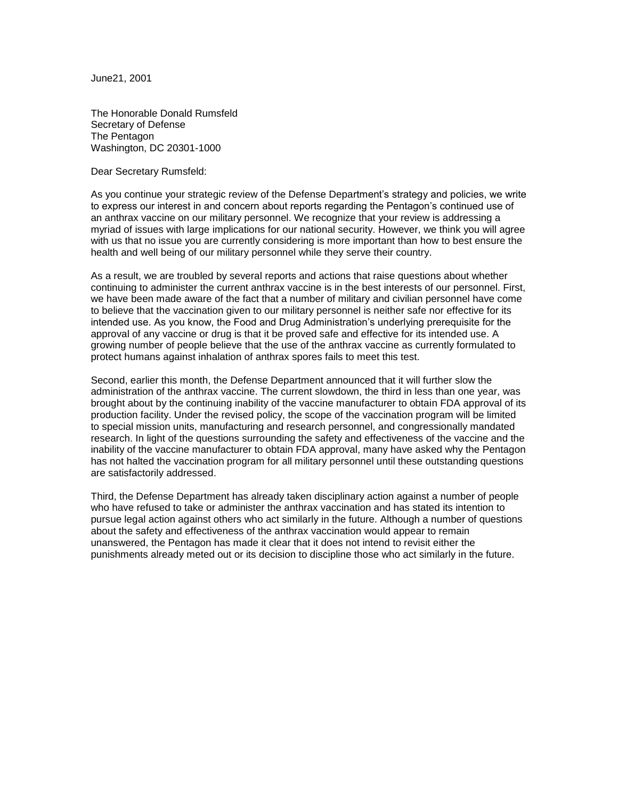June21, 2001

The Honorable Donald Rumsfeld Secretary of Defense The Pentagon Washington, DC 20301-1000

Dear Secretary Rumsfeld:

As you continue your strategic review of the Defense Department's strategy and policies, we write to express our interest in and concern about reports regarding the Pentagon's continued use of an anthrax vaccine on our military personnel. We recognize that your review is addressing a myriad of issues with large implications for our national security. However, we think you will agree with us that no issue you are currently considering is more important than how to best ensure the health and well being of our military personnel while they serve their country.

As a result, we are troubled by several reports and actions that raise questions about whether continuing to administer the current anthrax vaccine is in the best interests of our personnel. First, we have been made aware of the fact that a number of military and civilian personnel have come to believe that the vaccination given to our military personnel is neither safe nor effective for its intended use. As you know, the Food and Drug Administration's underlying prerequisite for the approval of any vaccine or drug is that it be proved safe and effective for its intended use. A growing number of people believe that the use of the anthrax vaccine as currently formulated to protect humans against inhalation of anthrax spores fails to meet this test.

Second, earlier this month, the Defense Department announced that it will further slow the administration of the anthrax vaccine. The current slowdown, the third in less than one year, was brought about by the continuing inability of the vaccine manufacturer to obtain FDA approval of its production facility. Under the revised policy, the scope of the vaccination program will be limited to special mission units, manufacturing and research personnel, and congressionally mandated research. In light of the questions surrounding the safety and effectiveness of the vaccine and the inability of the vaccine manufacturer to obtain FDA approval, many have asked why the Pentagon has not halted the vaccination program for all military personnel until these outstanding questions are satisfactorily addressed.

Third, the Defense Department has already taken disciplinary action against a number of people who have refused to take or administer the anthrax vaccination and has stated its intention to pursue legal action against others who act similarly in the future. Although a number of questions about the safety and effectiveness of the anthrax vaccination would appear to remain unanswered, the Pentagon has made it clear that it does not intend to revisit either the punishments already meted out or its decision to discipline those who act similarly in the future.